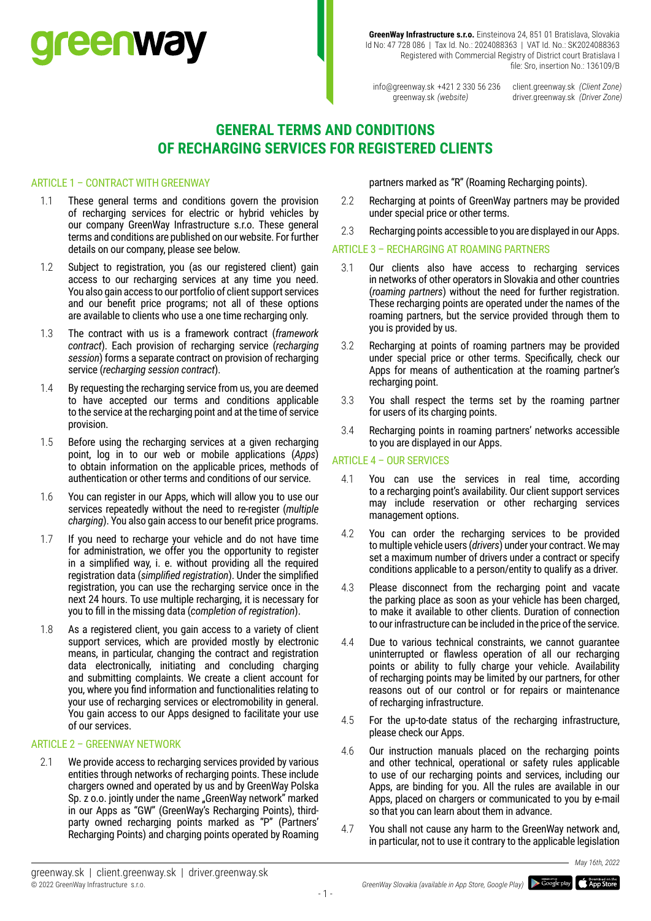# **reenway**

**GreenWay Infrastructure s.r.o.** Einsteinova 24, 851 01 Bratislava, Slovakia Id No: 47 728 086 | Tax Id. No.: 2024088363 | VAT Id. No.: SK2024088363 Registered with Commercial Registry of District court Bratislava I file: Sro, insertion No.: 136109/B

info@greenway.sk +421 2 330 56 236 greenway.sk *(website)*

client.greenway.sk *(Client Zone)* driver.greenway.sk *(Driver Zone)*

# **GENERAL TERMS AND CONDITIONS OF RECHARGING SERVICES FOR REGISTERED CLIENTS**

## ARTICLE 1 – CONTRACT WITH GREENWAY

- 1.1 These general terms and conditions govern the provision of recharging services for electric or hybrid vehicles by our company GreenWay Infrastructure s.r.o. These general terms and conditions are published on our website. For further details on our company, please see below.
- 1.2 Subject to registration, you (as our registered client) gain access to our recharging services at any time you need. You also gain access to our portfolio of client support services and our benefit price programs; not all of these options are available to clients who use a one time recharging only.
- 1.3 The contract with us is a framework contract (*framework contract*). Each provision of recharging service (*recharging session*) forms a separate contract on provision of recharging service (*recharging session contract*).
- 1.4 By requesting the recharging service from us, you are deemed to have accepted our terms and conditions applicable to the service at the recharging point and at the time of service provision.
- 1.5 Before using the recharging services at a given recharging point, log in to our web or mobile applications (*Apps*) to obtain information on the applicable prices, methods of authentication or other terms and conditions of our service.
- 1.6 You can register in our Apps, which will allow you to use our services repeatedly without the need to re-register (*multiple charging*). You also gain access to our benefit price programs.
- 1.7 If you need to recharge your vehicle and do not have time for administration, we offer you the opportunity to register in a simplified way, i. e. without providing all the required registration data (*simplified registration*). Under the simplified registration, you can use the recharging service once in the next 24 hours. To use multiple recharging, it is necessary for you to fill in the missing data (*completion of registration*).
- 1.8 As a registered client, you gain access to a variety of client support services, which are provided mostly by electronic means, in particular, changing the contract and registration data electronically, initiating and concluding charging and submitting complaints. We create a client account for you, where you find information and functionalities relating to your use of recharging services or electromobility in general. You gain access to our Apps designed to facilitate your use of our services.

## ARTICLE 2 – GREENWAY NETWORK

2.1 We provide access to recharging services provided by various entities through networks of recharging points. These include chargers owned and operated by us and by GreenWay Polska Sp. z o.o. jointly under the name "GreenWay network" marked in our Apps as "GW" (GreenWay's Recharging Points), thirdparty owned recharging points marked as "P" (Partners' Recharging Points) and charging points operated by Roaming

partners marked as "R" (Roaming Recharging points).

- 2.2 Recharging at points of GreenWay partners may be provided under special price or other terms.
- 2.3 Recharging points accessible to you are displayed in our Apps.

## ARTICLE 3 – RECHARGING AT ROAMING PARTNERS

- 3.1 Our clients also have access to recharging services in networks of other operators in Slovakia and other countries (*roaming partners*) without the need for further registration. These recharging points are operated under the names of the roaming partners, but the service provided through them to you is provided by us.
- 3.2 Recharging at points of roaming partners may be provided under special price or other terms. Specifically, check our Apps for means of authentication at the roaming partner's recharging point.
- 3.3 You shall respect the terms set by the roaming partner for users of its charging points.
- 3.4 Recharging points in roaming partners' networks accessible to you are displayed in our Apps.

## ARTICLE 4 – OUR SERVICES

- 4.1 You can use the services in real time, according to a recharging point's availability. Our client support services may include reservation or other recharging services management options.
- 4.2 You can order the recharging services to be provided to multiple vehicle users (*drivers*) under your contract. We may set a maximum number of drivers under a contract or specify conditions applicable to a person/entity to qualify as a driver.
- 4.3 Please disconnect from the recharging point and vacate the parking place as soon as your vehicle has been charged, to make it available to other clients. Duration of connection to our infrastructure can be included in the price of the service.
- 4.4 Due to various technical constraints, we cannot guarantee uninterrupted or flawless operation of all our recharging points or ability to fully charge your vehicle. Availability of recharging points may be limited by our partners, for other reasons out of our control or for repairs or maintenance of recharging infrastructure.
- 4.5 For the up-to-date status of the recharging infrastructure, please check our Apps.
- 4.6 Our instruction manuals placed on the recharging points and other technical, operational or safety rules applicable to use of our recharging points and services, including our Apps, are binding for you. All the rules are available in our Apps, placed on chargers or communicated to you by e-mail so that you can learn about them in advance.
- 4.7 You shall not cause any harm to the GreenWay network and, in particular, not to use it contrary to the applicable legislation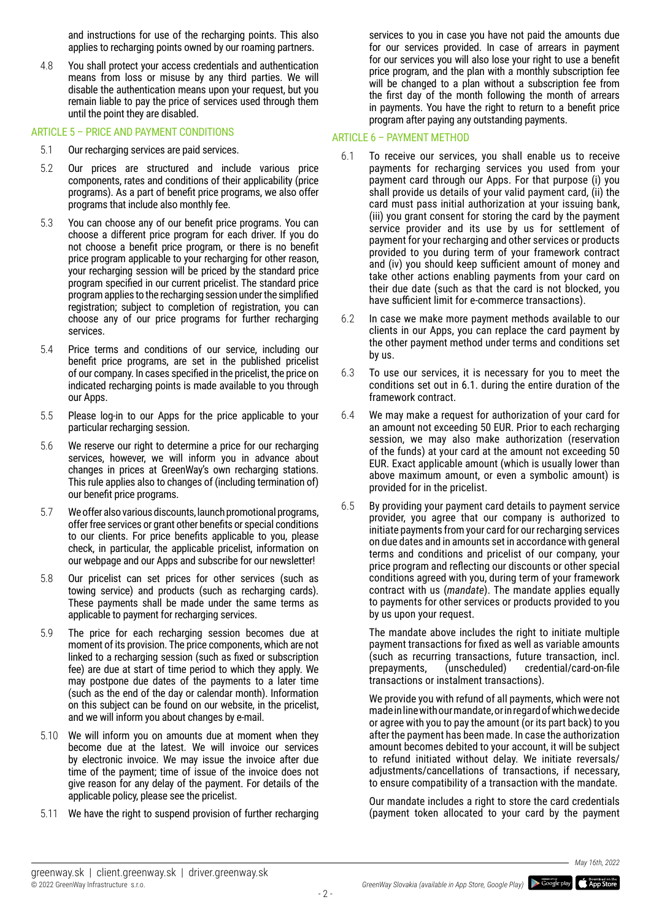and instructions for use of the recharging points. This also applies to recharging points owned by our roaming partners.

4.8 You shall protect your access credentials and authentication means from loss or misuse by any third parties. We will disable the authentication means upon your request, but you remain liable to pay the price of services used through them until the point they are disabled.

## ARTICLE 5 – PRICE AND PAYMENT CONDITIONS

- 5.1 Our recharging services are paid services.
- 5.2 Our prices are structured and include various price components, rates and conditions of their applicability (price programs). As a part of benefit price programs, we also offer programs that include also monthly fee.
- 5.3 You can choose any of our benefit price programs. You can choose a different price program for each driver. If you do not choose a benefit price program, or there is no benefit price program applicable to your recharging for other reason, your recharging session will be priced by the standard price program specified in our current pricelist. The standard price program applies to the recharging session under the simplified registration; subject to completion of registration, you can choose any of our price programs for further recharging services.
- 5.4 Price terms and conditions of our service, including our benefit price programs, are set in the published pricelist of our company. In cases specified in the pricelist, the price on indicated recharging points is made available to you through our Apps.
- 5.5 Please log-in to our Apps for the price applicable to your particular recharging session.
- 5.6 We reserve our right to determine a price for our recharging services, however, we will inform you in advance about changes in prices at GreenWay's own recharging stations. This rule applies also to changes of (including termination of) our benefit price programs.
- 5.7 We offer also various discounts, launch promotional programs, offer free services or grant other benefits or special conditions to our clients. For price benefits applicable to you, please check, in particular, the applicable pricelist, information on our webpage and our Apps and subscribe for our newsletter!
- 5.8 Our pricelist can set prices for other services (such as towing service) and products (such as recharging cards). These payments shall be made under the same terms as applicable to payment for recharging services.
- 5.9 The price for each recharging session becomes due at moment of its provision. The price components, which are not linked to a recharging session (such as fixed or subscription fee) are due at start of time period to which they apply. We may postpone due dates of the payments to a later time (such as the end of the day or calendar month). Information on this subject can be found on our website, in the pricelist, and we will inform you about changes by e-mail.
- 5.10 We will inform you on amounts due at moment when they become due at the latest. We will invoice our services by electronic invoice. We may issue the invoice after due time of the payment; time of issue of the invoice does not give reason for any delay of the payment. For details of the applicable policy, please see the pricelist.
- 5.11 We have the right to suspend provision of further recharging

services to you in case you have not paid the amounts due for our services provided. In case of arrears in payment for our services you will also lose your right to use a benefit price program, and the plan with a monthly subscription fee will be changed to a plan without a subscription fee from the first day of the month following the month of arrears in payments. You have the right to return to a benefit price program after paying any outstanding payments.

## ARTICLE 6 – PAYMENT METHOD

- 6.1 To receive our services, you shall enable us to receive payments for recharging services you used from your payment card through our Apps. For that purpose (i) you shall provide us details of your valid payment card, (ii) the card must pass initial authorization at your issuing bank, (iii) you grant consent for storing the card by the payment service provider and its use by us for settlement of payment for your recharging and other services or products provided to you during term of your framework contract and (iv) you should keep sufficient amount of money and take other actions enabling payments from your card on their due date (such as that the card is not blocked, you have sufficient limit for e-commerce transactions).
- 6.2 In case we make more payment methods available to our clients in our Apps, you can replace the card payment by the other payment method under terms and conditions set by us.
- 6.3 To use our services, it is necessary for you to meet the conditions set out in 6.1. during the entire duration of the framework contract.
- 6.4 We may make a request for authorization of your card for an amount not exceeding 50 EUR. Prior to each recharging session, we may also make authorization (reservation of the funds) at your card at the amount not exceeding 50 EUR. Exact applicable amount (which is usually lower than above maximum amount, or even a symbolic amount) is provided for in the pricelist.
- 6.5 By providing your payment card details to payment service provider, you agree that our company is authorized to initiate payments from your card for our recharging services on due dates and in amounts set in accordance with general terms and conditions and pricelist of our company, your price program and reflecting our discounts or other special conditions agreed with you, during term of your framework contract with us (*mandate*). The mandate applies equally to payments for other services or products provided to you by us upon your request.

The mandate above includes the right to initiate multiple payment transactions for fixed as well as variable amounts (such as recurring transactions, future transaction, incl. prepayments, (unscheduled) credential/card-on-file transactions or instalment transactions).

We provide you with refund of all payments, which were not made in line with our mandate, or in regard of which we decide or agree with you to pay the amount (or its part back) to you after the payment has been made. In case the authorization amount becomes debited to your account, it will be subject to refund initiated without delay. We initiate reversals/ adjustments/cancellations of transactions, if necessary, to ensure compatibility of a transaction with the mandate.

Our mandate includes a right to store the card credentials (payment token allocated to your card by the payment



 $-2 -$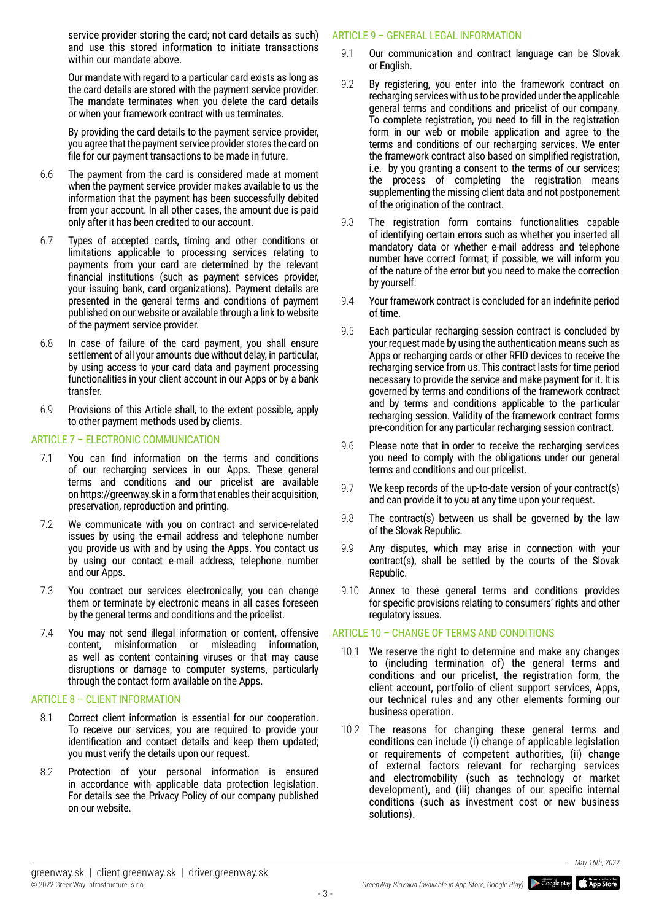service provider storing the card; not card details as such) and use this stored information to initiate transactions within our mandate above.

Our mandate with regard to a particular card exists as long as the card details are stored with the payment service provider. The mandate terminates when you delete the card details or when your framework contract with us terminates.

By providing the card details to the payment service provider, you agree that the payment service provider stores the card on file for our payment transactions to be made in future.

- 6.6 The payment from the card is considered made at moment when the payment service provider makes available to us the information that the payment has been successfully debited from your account. In all other cases, the amount due is paid only after it has been credited to our account.
- 6.7 Types of accepted cards, timing and other conditions or limitations applicable to processing services relating to payments from your card are determined by the relevant financial institutions (such as payment services provider, your issuing bank, card organizations). Payment details are presented in the general terms and conditions of payment published on our website or available through a link to website of the payment service provider.
- 6.8 In case of failure of the card payment, you shall ensure settlement of all your amounts due without delay, in particular, by using access to your card data and payment processing functionalities in your client account in our Apps or by a bank transfer.
- 6.9 Provisions of this Article shall, to the extent possible, apply to other payment methods used by clients.

## ARTICLE 7 - ELECTRONIC COMMUNICATION

- 7.1 You can find information on the terms and conditions of our recharging services in our Apps. These general terms and conditions and our pricelist are available on https://greenway.sk in a form that enables their acquisition, preservation, reproduction and printing.
- 7.2 We communicate with you on contract and service-related issues by using the e-mail address and telephone number you provide us with and by using the Apps. You contact us by using our contact e-mail address, telephone number and our Apps.
- 7.3 You contract our services electronically; you can change them or terminate by electronic means in all cases foreseen by the general terms and conditions and the pricelist.
- 7.4 You may not send illegal information or content, offensive content, misinformation or misleading information, as well as content containing viruses or that may cause disruptions or damage to computer systems, particularly through the contact form available on the Apps.

## ARTICLE 8 – CLIENT INFORMATION

- 8.1 Correct client information is essential for our cooperation. To receive our services, you are required to provide your identification and contact details and keep them updated; you must verify the details upon our request.
- 8.2 Protection of your personal information is ensured in accordance with applicable data protection legislation. For details see the Privacy Policy of our company published on our website.

## ARTICLE 9 – GENERAL LEGAL INFORMATION

- 9.1 Our communication and contract language can be Slovak or English.
- 9.2 By registering, you enter into the framework contract on recharging services with us to be provided under the applicable general terms and conditions and pricelist of our company. To complete registration, you need to fill in the registration form in our web or mobile application and agree to the terms and conditions of our recharging services. We enter the framework contract also based on simplified registration, i.e. by you granting a consent to the terms of our services; the process of completing the registration means supplementing the missing client data and not postponement of the origination of the contract.
- 9.3 The registration form contains functionalities capable of identifying certain errors such as whether you inserted all mandatory data or whether e-mail address and telephone number have correct format; if possible, we will inform you of the nature of the error but you need to make the correction by yourself.
- 9.4 Your framework contract is concluded for an indefinite period of time.
- 9.5 Each particular recharging session contract is concluded by your request made by using the authentication means such as Apps or recharging cards or other RFID devices to receive the recharging service from us. This contract lasts for time period necessary to provide the service and make payment for it. It is governed by terms and conditions of the framework contract and by terms and conditions applicable to the particular recharging session. Validity of the framework contract forms pre-condition for any particular recharging session contract.
- 9.6 Please note that in order to receive the recharging services you need to comply with the obligations under our general terms and conditions and our pricelist.
- 9.7 We keep records of the up-to-date version of your contract(s) and can provide it to you at any time upon your request.
- 9.8 The contract(s) between us shall be governed by the law of the Slovak Republic.
- 9.9 Any disputes, which may arise in connection with your contract(s), shall be settled by the courts of the Slovak Republic.
- 9.10 Annex to these general terms and conditions provides for specific provisions relating to consumers' rights and other regulatory issues.

## ARTICLE 10 – CHANGE OF TERMS AND CONDITIONS

- 10.1 We reserve the right to determine and make any changes to (including termination of) the general terms and conditions and our pricelist, the registration form, the client account, portfolio of client support services, Apps, our technical rules and any other elements forming our business operation.
- 10.2 The reasons for changing these general terms and conditions can include (i) change of applicable legislation or requirements of competent authorities, (ii) change of external factors relevant for recharging services and electromobility (such as technology or market development), and (iii) changes of our specific internal conditions (such as investment cost or new business solutions).

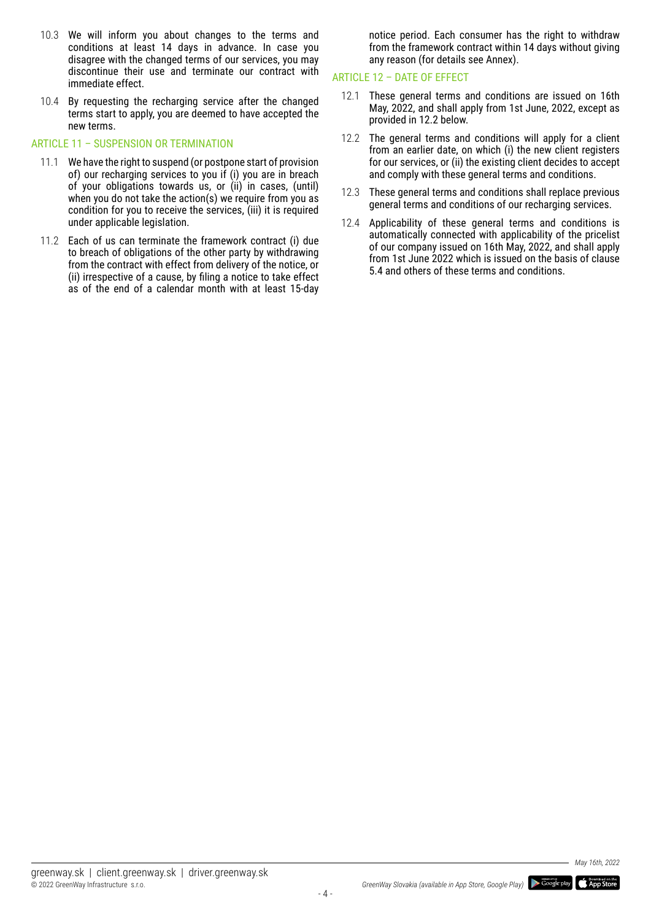- 10.3 We will inform you about changes to the terms and conditions at least 14 days in advance. In case you disagree with the changed terms of our services, you may discontinue their use and terminate our contract with immediate effect.
- 10.4 By requesting the recharging service after the changed terms start to apply, you are deemed to have accepted the new terms.

## ARTICLE 11 – SUSPENSION OR TERMINATION

- 11.1 We have the right to suspend (or postpone start of provision of) our recharging services to you if (i) you are in breach of your obligations towards us, or (ii) in cases, (until) when you do not take the action(s) we require from you as condition for you to receive the services, (iii) it is required under applicable legislation.
- 11.2 Each of us can terminate the framework contract (i) due to breach of obligations of the other party by withdrawing from the contract with effect from delivery of the notice, or (ii) irrespective of a cause, by filing a notice to take effect as of the end of a calendar month with at least 15-day

notice period. Each consumer has the right to withdraw from the framework contract within 14 days without giving any reason (for details see Annex).

## ARTICLE 12 – DATE OF EFFECT

- 12.1 These general terms and conditions are issued on 16th May, 2022, and shall apply from 1st June, 2022, except as provided in 12.2 below.
- 12.2 The general terms and conditions will apply for a client from an earlier date, on which (i) the new client registers for our services, or (ii) the existing client decides to accept and comply with these general terms and conditions.
- 12.3 These general terms and conditions shall replace previous general terms and conditions of our recharging services.
- 12.4 Applicability of these general terms and conditions is automatically connected with applicability of the pricelist of our company issued on 16th May, 2022, and shall apply from 1st June 2022 which is issued on the basis of clause 5.4 and others of these terms and conditions.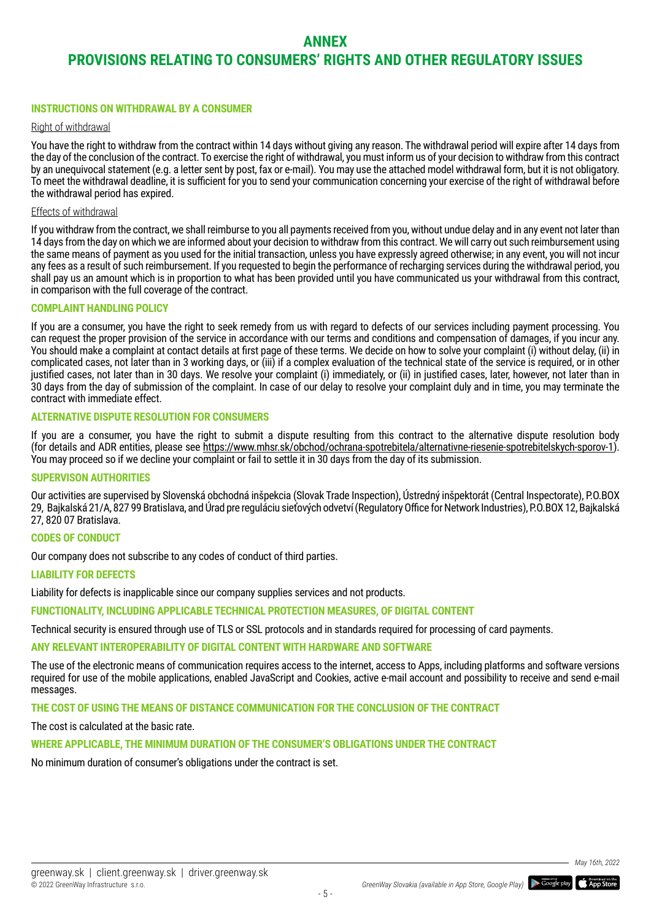## **ANNEX**

# **PROVISIONS RELATING TO CONSUMERS' RIGHTS AND OTHER REGULATORY ISSUES**

## **INSTRUCTIONS ON WITHDRAWAL BY A CONSUMER**

## Right of withdrawal

You have the right to withdraw from the contract within 14 days without giving any reason. The withdrawal period will expire after 14 days from the day of the conclusion of the contract. To exercise the right of withdrawal, you must inform us of your decision to withdraw from this contract by an unequivocal statement (e.g. a letter sent by post, fax or e-mail). You may use the attached model withdrawal form, but it is not obligatory. To meet the withdrawal deadline, it is sufficient for you to send your communication concerning your exercise of the right of withdrawal before the withdrawal period has expired.

## Effects of withdrawal

If you withdraw from the contract, we shall reimburse to you all payments received from you, without undue delay and in any event not later than 14 days from the day on which we are informed about your decision to withdraw from this contract. We will carry out such reimbursement using the same means of payment as you used for the initial transaction, unless you have expressly agreed otherwise; in any event, you will not incur any fees as a result of such reimbursement. If you requested to begin the performance of recharging services during the withdrawal period, you shall pay us an amount which is in proportion to what has been provided until you have communicated us your withdrawal from this contract, in comparison with the full coverage of the contract.

## **COMPLAINT HANDLING POLICY**

If you are a consumer, you have the right to seek remedy from us with regard to defects of our services including payment processing. You can request the proper provision of the service in accordance with our terms and conditions and compensation of damages, if you incur any. You should make a complaint at contact details at first page of these terms. We decide on how to solve your complaint (i) without delay, (ii) in complicated cases, not later than in 3 working days, or (iii) if a complex evaluation of the technical state of the service is required, or in other justified cases, not later than in 30 days. We resolve your complaint (i) immediately, or (ii) in justified cases, later, however, not later than in 30 days from the day of submission of the complaint. In case of our delay to resolve your complaint duly and in time, you may terminate the contract with immediate effect.

## **ALTERNATIVE DISPUTE RESOLUTION FOR CONSUMERS**

If you are a consumer, you have the right to submit a dispute resulting from this contract to the alternative dispute resolution body (for details and ADR entities, please see https://www.mhsr.sk/obchod/ochrana-spotrebitela/alternativne-riesenie-spotrebitelskych-sporov-1). You may proceed so if we decline your complaint or fail to settle it in 30 days from the day of its submission.

## **SUPERVISON AUTHORITIES**

Our activities are supervised by Slovenská obchodná inšpekcia (Slovak Trade Inspection), Ústredný inšpektorát (Central Inspectorate), P.O.BOX 29, Bajkalská 21/A, 827 99 Bratislava, and Úrad pre reguláciu sieťových odvetví (Regulatory Office for Network Industries), P.O.BOX 12, Bajkalská 27, 820 07 Bratislava.

## **CODES OF CONDUCT**

Our company does not subscribe to any codes of conduct of third parties.

#### **LIABILITY FOR DEFECTS**

Liability for defects is inapplicable since our company supplies services and not products.

**FUNCTIONALITY, INCLUDING APPLICABLE TECHNICAL PROTECTION MEASURES, OF DIGITAL CONTENT**

Technical security is ensured through use of TLS or SSL protocols and in standards required for processing of card payments.

## **ANY RELEVANT INTEROPERABILITY OF DIGITAL CONTENT WITH HARDWARE AND SOFTWARE**

The use of the electronic means of communication requires access to the internet, access to Apps, including platforms and software versions required for use of the mobile applications, enabled JavaScript and Cookies, active e-mail account and possibility to receive and send e-mail messages.

**THE COST OF USING THE MEANS OF DISTANCE COMMUNICATION FOR THE CONCLUSION OF THE CONTRACT**

The cost is calculated at the basic rate.

## **WHERE APPLICABLE, THE MINIMUM DURATION OF THE CONSUMER'S OBLIGATIONS UNDER THE CONTRACT**

No minimum duration of consumer's obligations under the contract is set.